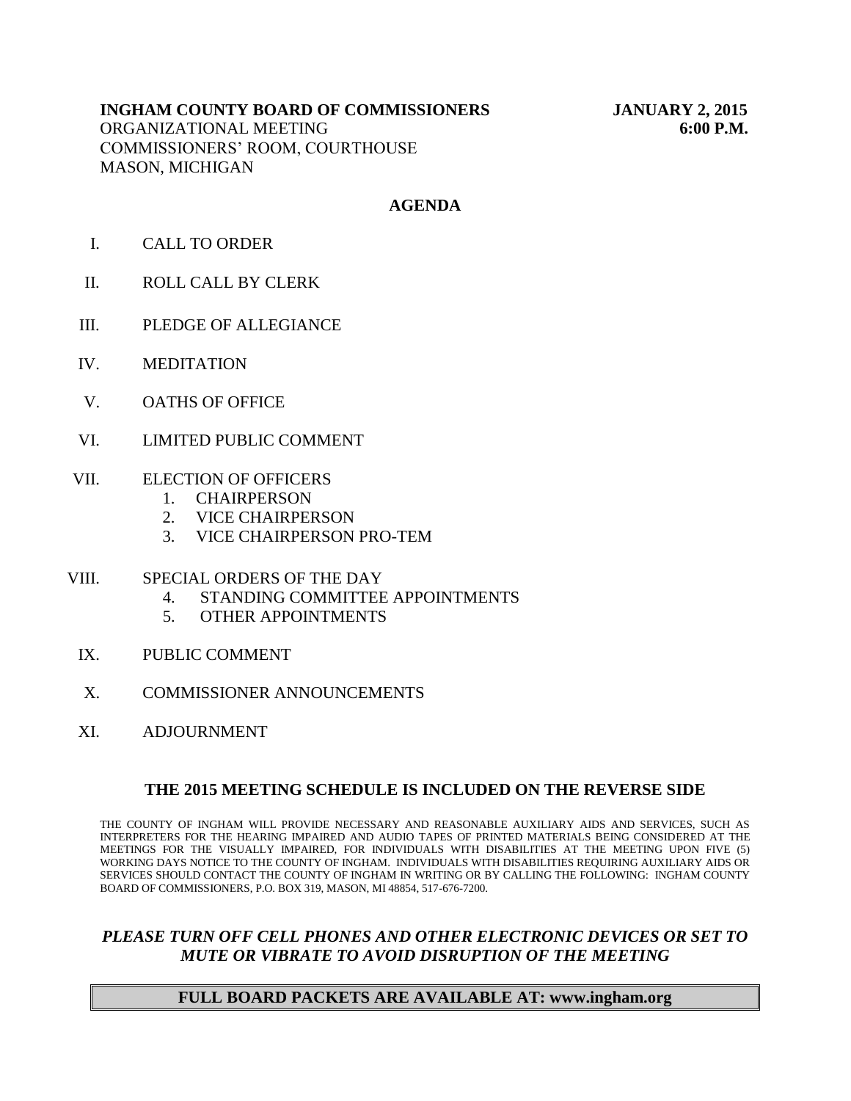# **INGHAM COUNTY BOARD OF COMMISSIONERS JANUARY 2, 2015** ORGANIZATIONAL MEETING **6:00 P.M.** COMMISSIONERS' ROOM, COURTHOUSE MASON, MICHIGAN

# **AGENDA**

- I. CALL TO ORDER
- II. ROLL CALL BY CLERK
- III. PLEDGE OF ALLEGIANCE
- IV. MEDITATION
- V. OATHS OF OFFICE
- VI. LIMITED PUBLIC COMMENT
- VII. ELECTION OF OFFICERS
	- 1. CHAIRPERSON
	- 2. VICE CHAIRPERSON
	- 3. VICE CHAIRPERSON PRO-TEM
- VIII. SPECIAL ORDERS OF THE DAY
	- 4. STANDING COMMITTEE APPOINTMENTS
	- 5. OTHER APPOINTMENTS
	- IX. PUBLIC COMMENT
	- X. COMMISSIONER ANNOUNCEMENTS
	- XI. ADJOURNMENT

#### **THE 2015 MEETING SCHEDULE IS INCLUDED ON THE REVERSE SIDE**

THE COUNTY OF INGHAM WILL PROVIDE NECESSARY AND REASONABLE AUXILIARY AIDS AND SERVICES, SUCH AS INTERPRETERS FOR THE HEARING IMPAIRED AND AUDIO TAPES OF PRINTED MATERIALS BEING CONSIDERED AT THE MEETINGS FOR THE VISUALLY IMPAIRED, FOR INDIVIDUALS WITH DISABILITIES AT THE MEETING UPON FIVE (5) WORKING DAYS NOTICE TO THE COUNTY OF INGHAM. INDIVIDUALS WITH DISABILITIES REQUIRING AUXILIARY AIDS OR SERVICES SHOULD CONTACT THE COUNTY OF INGHAM IN WRITING OR BY CALLING THE FOLLOWING: INGHAM COUNTY BOARD OF COMMISSIONERS, P.O. BOX 319, MASON, MI 48854, 517-676-7200.

# *PLEASE TURN OFF CELL PHONES AND OTHER ELECTRONIC DEVICES OR SET TO MUTE OR VIBRATE TO AVOID DISRUPTION OF THE MEETING*

### **FULL BOARD PACKETS ARE AVAILABLE AT: www.ingham.org**